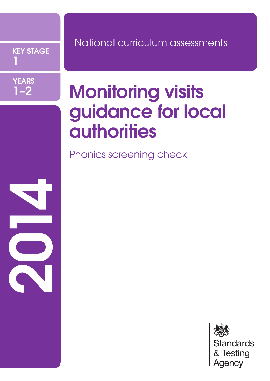KEY STAGE 1



2012

## National curriculum assessments

# Monitoring visits guidance for local **authorities**

Phonics screening check

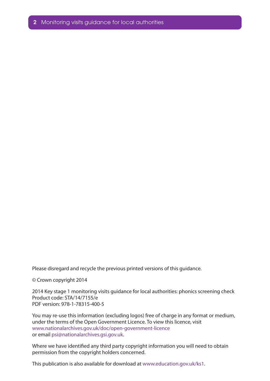Please disregard and recycle the previous printed versions of this guidance.

© Crown copyright 2014

2014 Key stage 1 monitoring visits guidance for local authorities: phonics screening check Product code: STA/14/7155/e PDF version: 978-1-78315-400-5

You may re-use this information (excluding logos) free of charge in any format or medium, under the terms of the Open Government Licence. To view this licence, visit www.nationalarchives.gov.uk/doc/open-government-licence or email psi@nationalarchives.gsi.gov.uk.

Where we have identified any third party copyright information you will need to obtain permission from the copyright holders concerned.

This publication is also available for download at www.education.gov.uk/ks1.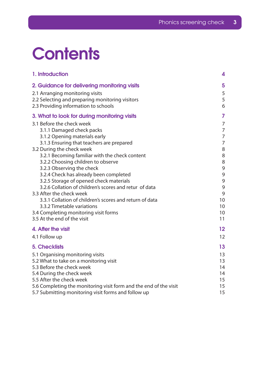# **Contents**

| 1. Introduction                                                                                                                                                                                                                                                                                                                                                                                                                                                                     | 4                                                                            |
|-------------------------------------------------------------------------------------------------------------------------------------------------------------------------------------------------------------------------------------------------------------------------------------------------------------------------------------------------------------------------------------------------------------------------------------------------------------------------------------|------------------------------------------------------------------------------|
| 2. Guidance for delivering monitoring visits<br>2.1 Arranging monitoring visits<br>2.2 Selecting and preparing monitoring visitors<br>2.3 Providing information to schools                                                                                                                                                                                                                                                                                                          | 5<br>5<br>5<br>6                                                             |
| 3. What to look for during monitoring visits                                                                                                                                                                                                                                                                                                                                                                                                                                        | 7                                                                            |
| 3.1 Before the check week<br>3.1.1 Damaged check packs<br>3.1.2 Opening materials early                                                                                                                                                                                                                                                                                                                                                                                             | $\overline{7}$<br>$\overline{7}$<br>7<br>$\overline{7}$                      |
| 3.1.3 Ensuring that teachers are prepared<br>3.2 During the check week                                                                                                                                                                                                                                                                                                                                                                                                              | 8                                                                            |
| 3.2.1 Becoming familiar with the check content<br>3.2.2 Choosing children to observe<br>3.2.3 Observing the check<br>3.2.4 Check has already been completed<br>3.2.5 Storage of opened check materials<br>3.2.6 Collation of children's scores and retur of data<br>3.3 After the check week<br>3.3.1 Collation of children's scores and return of data<br>3.3.2 Timetable variations<br>3.4 Completing monitoring visit forms<br>3.5 At the end of the visit<br>4. After the visit | 8<br>8<br>9<br>9<br>$\mathsf 9$<br>9<br>9<br>10<br>10<br>10<br>11<br>$12 \,$ |
| 4.1 Follow up                                                                                                                                                                                                                                                                                                                                                                                                                                                                       | 12                                                                           |
| <b>5. Checklists</b><br>5.1 Organising monitoring visits<br>5.2 What to take on a monitoring visit<br>5.3 Before the check week<br>5.4 During the check week<br>5.5 After the check week                                                                                                                                                                                                                                                                                            | 13<br>13<br>13<br>14<br>14<br>15                                             |
| 5.6 Completing the monitoring visit form and the end of the visit<br>5.7 Submitting monitoring visit forms and follow up                                                                                                                                                                                                                                                                                                                                                            | 15<br>15                                                                     |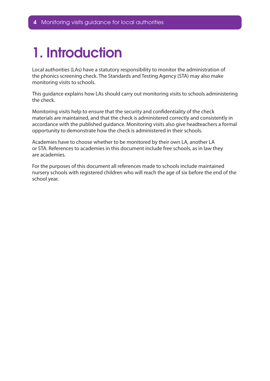## <span id="page-3-0"></span>1. Introduction

Local authorities (LAs) have a statutory responsibility to monitor the administration of the phonics screening check. The Standards and Testing Agency (STA) may also make monitoring visits to schools.

This guidance explains how LAs should carry out monitoring visits to schools administering the check.

Monitoring visits help to ensure that the security and confidentiality of the check materials are maintained, and that the check is administered correctly and consistently in accordance with the published guidance. Monitoring visits also give headteachers a formal opportunity to demonstrate how the check is administered in their schools.

Academies have to choose whether to be monitored by their own LA, another LA or STA. References to academies in this document include free schools, as in law they are academies.

For the purposes of this document all references made to schools include maintained nursery schools with registered children who will reach the age of six before the end of the school year.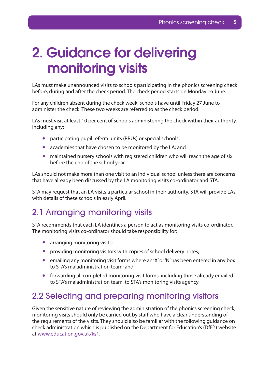## <span id="page-4-0"></span>2. Guidance for delivering monitoring visits

LAs must make unannounced visits to schools participating in the phonics screening check before, during and after the check period. The check period starts on Monday 16 June.

For any children absent during the check week, schools have until Friday 27 June to administer the check. These two weeks are referred to as the check period.

LAs must visit at least 10 per cent of schools administering the check within their authority, including any:

- participating pupil referral units (PRUs) or special schools;
- academies that have chosen to be monitored by the LA; and
- maintained nursery schools with registered children who will reach the age of six before the end of the school year.

LAs should not make more than one visit to an individual school unless there are concerns that have already been discussed by the LA monitoring visits co-ordinator and STA.

STA may request that an LA visits a particular school in their authority. STA will provide LAs with details of these schools in early April.

## 2.1 Arranging monitoring visits

STA recommends that each LA identifies a person to act as monitoring visits co-ordinator. The monitoring visits co-ordinator should take responsibility for:

- arranging monitoring visits;
- providing monitoring visitors with copies of school delivery notes;
- $\bullet$  emailing any monitoring visit forms where an 'X' or 'N' has been entered in any box to STA's maladministration team; and
- forwarding all completed monitoring visit forms, including those already emailed to STA's maladministration team, to STA's monitoring visits agency.

### 2.2 Selecting and preparing monitoring visitors

Given the sensitive nature of reviewing the administration of the phonics screening check, monitoring visits should only be carried out by staff who have a clear understanding of the requirements of the visits. They should also be familiar with the following guidance on check administration which is published on the Department for Education's (DfE's) website at www.education.gov.uk/ks1.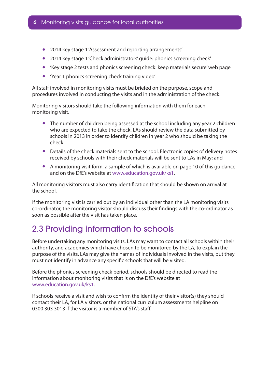- <span id="page-5-0"></span>2014 key stage 1 'Assessment and reporting arrangements'
- 2014 key stage 1 'Check administrators' quide: phonics screening check'
- $\bullet$  'Key stage 2 tests and phonics screening check: keep materials secure' web page
- 'Year 1 phonics screening check training video'

All staff involved in monitoring visits must be briefed on the purpose, scope and procedures involved in conducting the visits and in the administration of the check.

Monitoring visitors should take the following information with them for each monitoring visit.

- The number of children being assessed at the school including any year 2 children who are expected to take the check. LAs should review the data submitted by schools in 2013 in order to identify children in year 2 who should be taking the check.
- Details of the check materials sent to the school. Electronic copies of delivery notes received by schools with their check materials will be sent to LAs in May; and
- A monitoring visit form, a sample of which is available on page 10 of this guidance and on the DfE's website at www.education.gov.uk/ks1.

All monitoring visitors must also carry identification that should be shown on arrival at the school.

If the monitoring visit is carried out by an individual other than the LA monitoring visits co-ordinator, the monitoring visitor should discuss their findings with the co-ordinator as soon as possible after the visit has taken place.

## 2.3 Providing information to schools

Before undertaking any monitoring visits, LAs may want to contact all schools within their authority, and academies which have chosen to be monitored by the LA, to explain the purpose of the visits. LAs may give the names of individuals involved in the visits, but they must not identify in advance any specific schools that will be visited.

Before the phonics screening check period, schools should be directed to read the information about monitoring visits that is on the DfE's website at www.education.gov.uk/ks1.

If schools receive a visit and wish to confirm the identity of their visitor(s) they should contact their LA, for LA visitors, or the national curriculum assessments helpline on 0300 303 3013 if the visitor is a member of STA's staff.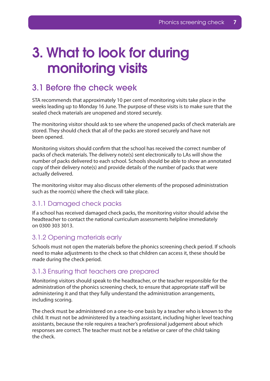## <span id="page-6-0"></span>3. What to look for during monitoring visits

### 3.1 Before the check week

STA recommends that approximately 10 per cent of monitoring visits take place in the weeks leading up to Monday 16 June. The purpose of these visits is to make sure that the sealed check materials are unopened and stored securely.

The monitoring visitor should ask to see where the unopened packs of check materials are stored. They should check that all of the packs are stored securely and have not been opened.

Monitoring visitors should confirm that the school has received the correct number of packs of check materials. The delivery note(s) sent electronically to LAs will show the number of packs delivered to each school. Schools should be able to show an annotated copy of their delivery note(s) and provide details of the number of packs that were actually delivered.

The monitoring visitor may also discuss other elements of the proposed administration such as the room(s) where the check will take place.

#### 3.1.1 Damaged check packs

If a school has received damaged check packs, the monitoring visitor should advise the headteacher to contact the national curriculum assessments helpline immediately on 0300 303 3013.

#### 3.1.2 Opening materials early

Schools must not open the materials before the phonics screening check period. If schools need to make adjustments to the check so that children can access it, these should be made during the check period.

#### 3.1.3 Ensuring that teachers are prepared

Monitoring visitors should speak to the headteacher, or the teacher responsible for the administration of the phonics screening check, to ensure that appropriate staff will be administering it and that they fully understand the administration arrangements, including scoring.

The check must be administered on a one-to-one basis by a teacher who is known to the child. It must not be administered by a teaching assistant, including higher level teaching assistants, because the role requires a teacher's professional judgement about which responses are correct. The teacher must not be a relative or carer of the child taking the check.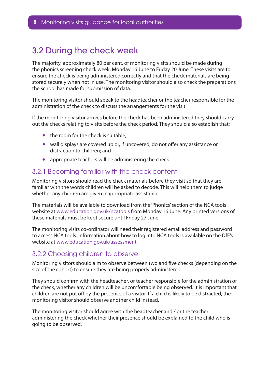## <span id="page-7-0"></span>3.2 During the check week

The majority, approximately 80 per cent, of monitoring visits should be made during the phonics screening check week, Monday 16 June to Friday 20 June. These visits are to ensure the check is being administered correctly and that the check materials are being stored securely when not in use. The monitoring visitor should also check the preparations the school has made for submission of data.

The monitoring visitor should speak to the headteacher or the teacher responsible for the administration of the check to discuss the arrangements for the visit.

If the monitoring visitor arrives before the check has been administered they should carry out the checks relating to visits before the check period. They should also establish that:

- the room for the check is suitable;
- wall displays are covered up or, if uncovered, do not offer any assistance or distraction to children; and
- appropriate teachers will be administering the check.

#### 3.2.1 Becoming familiar with the check content

Monitoring visitors should read the check materials before they visit so that they are familiar with the words children will be asked to decode. This will help them to judge whether any children are given inappropriate assistance.

The materials will be available to download from the 'Phonics' section of the NCA tools website at www.education.gov.uk/ncatools from Monday 16 June. Any printed versions of these materials must be kept secure until Friday 27 June.

The monitoring visits co-ordinator will need their registered email address and password to access NCA tools. Information about how to log into NCA tools is available on the DfE's website at www.education.gov.uk/assessment.

#### 3.2.2 Choosing children to observe

Monitoring visitors should aim to observe between two and five checks (depending on the size of the cohort) to ensure they are being properly administered.

They should confirm with the headteacher, or teacher responsible for the administration of the check, whether any children will be uncomfortable being observed. It is important that children are not put off by the presence of a visitor. If a child is likely to be distracted, the monitoring visitor should observe another child instead.

The monitoring visitor should agree with the headteacher and / or the teacher administering the check whether their presence should be explained to the child who is going to be observed.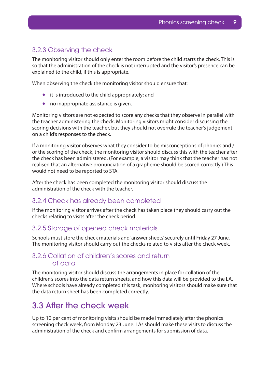#### <span id="page-8-0"></span>3.2.3 Observing the check

The monitoring visitor should only enter the room before the child starts the check. This is so that the administration of the check is not interrupted and the visitor's presence can be explained to the child, if this is appropriate.

When observing the check the monitoring visitor should ensure that:

- it is introduced to the child appropriately; and
- no inappropriate assistance is given.

Monitoring visitors are not expected to score any checks that they observe in parallel with the teacher administering the check. Monitoring visitors might consider discussing the scoring decisions with the teacher, but they should not overrule the teacher's judgement on a child's responses to the check.

If a monitoring visitor observes what they consider to be misconceptions of phonics and / or the scoring of the check, the monitoring visitor should discuss this with the teacher after the check has been administered. (For example, a visitor may think that the teacher has not realised that an alternative pronunciation of a grapheme should be scored correctly.) This would not need to be reported to STA.

After the check has been completed the monitoring visitor should discuss the administration of the check with the teacher.

#### 3.2.4 Check has already been completed

If the monitoring visitor arrives after the check has taken place they should carry out the checks relating to visits after the check period.

#### 3.2.5 Storage of opened check materials

Schools must store the check materials and 'answer sheets' securely until Friday 27 June. The monitoring visitor should carry out the checks related to visits after the check week.

#### 3.2.6 Collation of children's scores and return of data

The monitoring visitor should discuss the arrangements in place for collation of the children's scores into the data return sheets, and how this data will be provided to the LA. Where schools have already completed this task, monitoring visitors should make sure that the data return sheet has been completed correctly.

#### 3.3 After the check week

Up to 10 per cent of monitoring visits should be made immediately after the phonics screening check week, from Monday 23 June. LAs should make these visits to discuss the administration of the check and confirm arrangements for submission of data.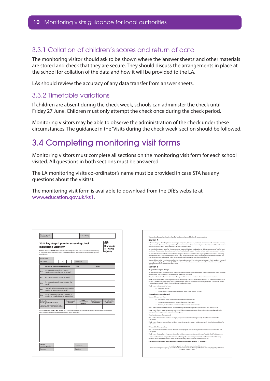#### <span id="page-9-0"></span>3.3.1 Collation of children's scores and return of data

The monitoring visitor should ask to be shown where the 'answer sheets' and other materials are stored and check that they are secure. They should discuss the arrangements in place at the school for collation of the data and how it will be provided to the LA.

LAs should review the accuracy of any data transfer from answer sheets.

#### 3.3.2 Timetable variations

If children are absent during the check week, schools can administer the check until Friday 27 June. Children must only attempt the check once during the check period.

Monitoring visitors may be able to observe the administration of the check under these circumstances. The guidance in the 'Visits during the check week' section should be followed.

## 3.4 Completing monitoring visit forms

Monitoring visitors must complete all sections on the monitoring visit form for each school visited. All questions in both sections must be answered.

The LA monitoring visits co-ordinator's name must be provided in case STA has any questions about the visit(s).

The monitoring visit form is available to download from the DfE's website at www.education.gov.uk/ks1.

| <b>DfE</b> number                                                                                                                              | School name                                                                           |  |                                 |  |  |                                     | Date of visit                     |                                |                                                                                                                             |  |
|------------------------------------------------------------------------------------------------------------------------------------------------|---------------------------------------------------------------------------------------|--|---------------------------------|--|--|-------------------------------------|-----------------------------------|--------------------------------|-----------------------------------------------------------------------------------------------------------------------------|--|
|                                                                                                                                                | <b>Section A: General administration</b>                                              |  |                                 |  |  |                                     | Y/N                               |                                | <b>Notes</b>                                                                                                                |  |
| 01.                                                                                                                                            | Is there evidence to show that the<br>consignment was checked on arrival?             |  |                                 |  |  |                                     |                                   |                                |                                                                                                                             |  |
| 02.                                                                                                                                            | Are check materials stored securely?                                                  |  |                                 |  |  |                                     |                                   |                                |                                                                                                                             |  |
| O3.                                                                                                                                            | Are appropriate staff administering the<br>check?                                     |  |                                 |  |  |                                     |                                   |                                |                                                                                                                             |  |
| O4.                                                                                                                                            | Have administrators received appropriate<br>training to administer the check?         |  |                                 |  |  |                                     |                                   |                                |                                                                                                                             |  |
| Q5.                                                                                                                                            | Is the room where the check is being, or<br>is going to be, administered appropriate? |  |                                 |  |  |                                     |                                   |                                |                                                                                                                             |  |
| <b>Section B:</b><br><b>Check-specific information</b><br>Please refer to the notes overleaf and<br>indicate the status of all check materials |                                                                                       |  | <b>Unopened pack</b><br>storage |  |  | Check<br>administration<br>observed | Completed answer<br>sheets viewed | Data collated for<br>reporting |                                                                                                                             |  |
|                                                                                                                                                |                                                                                       |  |                                 |  |  |                                     |                                   |                                |                                                                                                                             |  |
|                                                                                                                                                | issue you have observed and where appropriate, any actions taken.                     |  |                                 |  |  |                                     |                                   |                                | If you have entered an X or N in Section B, or have observed any other irreqularities during the visit, describe below what |  |

| Section A    |                                                                                                                                                                                                                                                                                                                                                        |
|--------------|--------------------------------------------------------------------------------------------------------------------------------------------------------------------------------------------------------------------------------------------------------------------------------------------------------------------------------------------------------|
|              | Before, during and after the phonics screening check period, it should be possible to view the school's annotated delivery<br>note to confirm that the correct quantities of check materials have been received by the school. You should be able to view<br>the secure storage of the check materials before and after the check.                     |
|              | For visits before, during and after the check period you should ask the headteacher, or delegated member of staff, who will<br>administer the check. Administrators must be teachers that are known to the child, but not relatives or carers of the child.                                                                                            |
|              | You should ask whether the teachers administering the check have read the 2014 key stage 1 'Assessment and reporting<br>arrangements', the 'Check administrators' quide' (CAG), 'Phonics screening check: scoring quidance' and watched the 'Year 1<br>phonics screening check training video' so that they know how to administer the check properly. |
|              | You should also ask to view the room where the check is being, or will be, administered to ensure that it has been prepared<br>properly, that displays that could help children in the check have been removed or covered and that the room itself is<br>appropriate for the administration of the check.                                              |
| Section R    |                                                                                                                                                                                                                                                                                                                                                        |
|              | Unopened check pack storage                                                                                                                                                                                                                                                                                                                            |
|              | You should request to view the school's annotated delivery note(s) to confirm that the correct quantities of check materials<br>were received and that they are securely stored in a locked cupboard.                                                                                                                                                  |
|              | Use ✔ to indicate that the correct number of unopened check packs have been observed in a secure location.                                                                                                                                                                                                                                             |
|              | Use N where the number of check packs listed on the delivery note and the number observed do not correlate. You should<br>include a marked-up copy of the school's delivery note(s) when you return the monitoring visit form. Please note, where<br>the distributor is clearly at fault, this should be advised on the form.                          |
|              | Use X where a check pack has been                                                                                                                                                                                                                                                                                                                      |
|              | · tampered with: or                                                                                                                                                                                                                                                                                                                                    |
|              | opened before the statutory check week (week commencing 16 June).                                                                                                                                                                                                                                                                                      |
|              | <b>Check administration observed</b>                                                                                                                                                                                                                                                                                                                   |
|              | You should make sure that:                                                                                                                                                                                                                                                                                                                             |
|              | <sup>.</sup> the check is being administered by an appropriate teacher;                                                                                                                                                                                                                                                                                |
|              | no inappropriate assistance is given during the check; and                                                                                                                                                                                                                                                                                             |
| ٠            | displays / materials have been removed or covered, as appropriate.                                                                                                                                                                                                                                                                                     |
|              | Use v when the check administration observed during the monitoring visit is in accordance with the 2014 CAG.                                                                                                                                                                                                                                           |
|              | Use X where there is reason to question whether children have completed the check independently and unaided, for<br>example where inappropriate support has been given.                                                                                                                                                                                |
|              | <b>Completed answer sheets viewed</b>                                                                                                                                                                                                                                                                                                                  |
| data return. | Use √ when the answer sheets have been properly completed and are being securely stored before collation for                                                                                                                                                                                                                                           |
| data return  | Use X where the answer sheets have not been properly completed and are not being securely stored before collation for                                                                                                                                                                                                                                  |
|              | Data collated for reporting                                                                                                                                                                                                                                                                                                                            |
| data system. | Use when the data from the answer sheets has been properly and accurately transferred to the local authority's (LA)                                                                                                                                                                                                                                    |
|              | Use X where the data from the answer sheets has not been properly and accurately transferred to the LA's data system.                                                                                                                                                                                                                                  |
|              | Ask the headteacher or delegated member of staff to sign the monitoring visit form to confirm the visit and that any<br>feedback about the administration of the phonics screening check has been given to the school.                                                                                                                                 |
|              | Please return the form to your LA monitoring visit co-ordinator by Friday 27 June 2014.                                                                                                                                                                                                                                                                |
|              | LA monitoring visits co-ordinators must return this form to:<br>STA's monitoring visits agency, c/o Customer Intentions, Assessment and Qualifications Alliance (AQA), Stag Hill House,                                                                                                                                                                |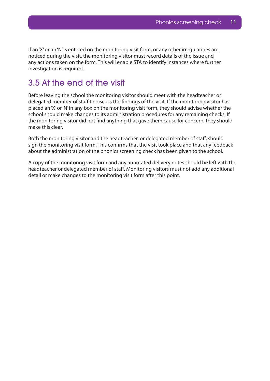<span id="page-10-0"></span>If an 'X' or an 'N' is entered on the monitoring visit form, or any other irregularities are noticed during the visit, the monitoring visitor must record details of the issue and any actions taken on the form. This will enable STA to identify instances where further investigation is required.

## 3.5 At the end of the visit

Before leaving the school the monitoring visitor should meet with the headteacher or delegated member of staff to discuss the findings of the visit. If the monitoring visitor has placed an 'X' or 'N' in any box on the monitoring visit form, they should advise whether the school should make changes to its administration procedures for any remaining checks. If the monitoring visitor did not find anything that gave them cause for concern, they should make this clear.

Both the monitoring visitor and the headteacher, or delegated member of staff, should sign the monitoring visit form. This confirms that the visit took place and that any feedback about the administration of the phonics screening check has been given to the school.

A copy of the monitoring visit form and any annotated delivery notes should be left with the headteacher or delegated member of staff. Monitoring visitors must not add any additional detail or make changes to the monitoring visit form after this point.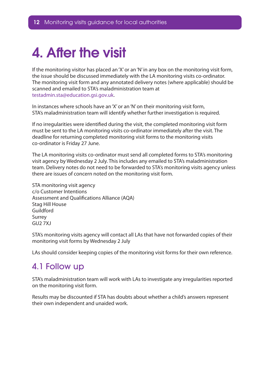## <span id="page-11-0"></span>4. After the visit

If the monitoring visitor has placed an 'X' or an 'N' in any box on the monitoring visit form, the issue should be discussed immediately with the LA monitoring visits co-ordinator. The monitoring visit form and any annotated delivery notes (where applicable) should be scanned and emailed to STA's maladministration team at testadmin.sta@education.gsi.gov.uk.

In instances where schools have an 'X' or an 'N' on their monitoring visit form, STA's maladministration team will identify whether further investigation is required.

If no irregularities were identified during the visit, the completed monitoring visit form must be sent to the LA monitoring visits co-ordinator immediately after the visit. The deadline for returning completed monitoring visit forms to the monitoring visits co-ordinator is Friday 27 June.

The LA monitoring visits co-ordinator must send all completed forms to STA's monitoring visit agency by Wednesday 2 July. This includes any emailed to STA's maladministration team. Delivery notes do not need to be forwarded to STA's monitoring visits agency unless there are issues of concern noted on the monitoring visit form.

STA monitoring visit agency c/o Customer Intentions Assessment and Qualifications Alliance (AQA) Stag Hill House Guildford Surrey GU2 7XJ

STA's monitoring visits agency will contact all LAs that have not forwarded copies of their monitoring visit forms by Wednesday 2 July

LAs should consider keeping copies of the monitoring visit forms for their own reference.

### 4.1 Follow up

STA's maladministration team will work with LAs to investigate any irregularities reported on the monitoring visit form.

Results may be discounted if STA has doubts about whether a child's answers represent their own independent and unaided work.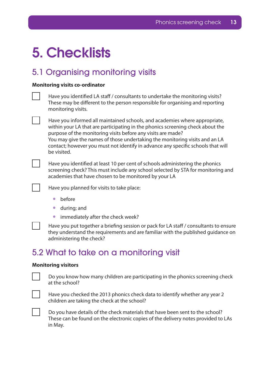## <span id="page-12-0"></span>5. Checklists

## 5.1 Organising monitoring visits

#### **Monitoring visits co-ordinator**

| Have you identified LA staff / consultants to undertake the monitoring visits?<br>These may be different to the person responsible for organising and reporting<br>monitoring visits.                                                                                                                                                                                                                          |
|----------------------------------------------------------------------------------------------------------------------------------------------------------------------------------------------------------------------------------------------------------------------------------------------------------------------------------------------------------------------------------------------------------------|
| Have you informed all maintained schools, and academies where appropriate,<br>within your LA that are participating in the phonics screening check about the<br>purpose of the monitoring visits before any visits are made?<br>You may give the names of those undertaking the monitoring visits and an LA<br>contact; however you must not identify in advance any specific schools that will<br>be visited. |
| Have you identified at least 10 per cent of schools administering the phonics<br>screening check? This must include any school selected by STA for monitoring and<br>academies that have chosen to be monitored by your LA                                                                                                                                                                                     |
| Have you planned for visits to take place:                                                                                                                                                                                                                                                                                                                                                                     |

- before
- • during; and
- immediately after the check week?

Have you put together a briefing session or pack for LA staff / consultants to ensure they understand the requirements and are familiar with the published guidance on administering the check?

### 5.2 What to take on a monitoring visit

#### **Monitoring visitors**

Do you know how many children are participating in the phonics screening check at the school?



Have you checked the 2013 phonics check data to identify whether any year 2 children are taking the check at the school?



Do you have details of the check materials that have been sent to the school? These can be found on the electronic copies of the delivery notes provided to LAs in May.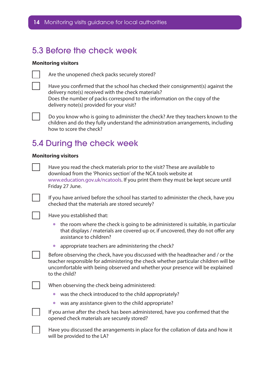### <span id="page-13-0"></span>5.3 Before the check week

#### **Monitoring visitors**



Are the unopened check packs securely stored?

Have you confirmed that the school has checked their consignment(s) against the delivery note(s) received with the check materials? Does the number of packs correspond to the information on the copy of the delivery note(s) provided for your visit?



Do you know who is going to administer the check? Are they teachers known to the children and do they fully understand the administration arrangements, including how to score the check?

## 5.4 During the check week

#### **Monitoring visitors**

Have you read the check materials prior to the visit? These are available to download from the 'Phonics section' of the NCA tools website at www.education.gov.uk/ncatools. If you print them they must be kept secure until Friday 27 June.

If you have arrived before the school has started to administer the check, have you checked that the materials are stored securely?

Have you established that:

- $\bullet$  the room where the check is going to be administered is suitable, in particular that displays / materials are covered up or, if uncovered, they do not offer any assistance to children?
- appropriate teachers are administering the check?

Before observing the check, have you discussed with the headteacher and / or the teacher responsible for administering the check whether particular children will be uncomfortable with being observed and whether your presence will be explained to the child?

When observing the check being administered:

- was the check introduced to the child appropriately?
- was any assistance given to the child appropriate?

If you arrive after the check has been administered, have you confirmed that the opened check materials are securely stored?

Have you discussed the arrangements in place for the collation of data and how it will be provided to the LA?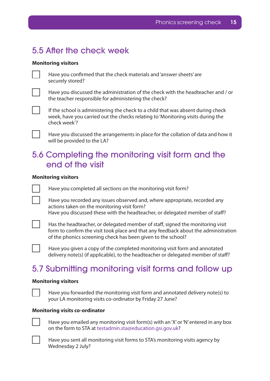## <span id="page-14-0"></span>5.5 After the check week

#### **Monitoring visitors**

Have you confirmed that the check materials and 'answer sheets' are securely stored?

Have you discussed the administration of the check with the headteacher and / or the teacher responsible for administering the check?

If the school is administering the check to a child that was absent during check week, have you carried out the checks relating to 'Monitoring visits during the check week'?

Have you discussed the arrangements in place for the collation of data and how it will be provided to the LA?

## 5.6 Completing the monitoring visit form and the end of the visit

#### **Monitoring visitors**

Have you completed all sections on the monitoring visit form?

Have you recorded any issues observed and, where appropriate, recorded any actions taken on the monitoring visit form? Have you discussed these with the headteacher, or delegated member of staff?

Has the headteacher, or delegated member of staff, signed the monitoring visit form to confirm the visit took place and that any feedback about the administration of the phonics screening check has been given to the school?

Have you given a copy of the completed monitoring visit form and annotated delivery note(s) (if applicable), to the headteacher or delegated member of staff?

## 5.7 Submitting monitoring visit forms and follow up

#### **Monitoring visitors**

Have you forwarded the monitoring visit form and annotated delivery note(s) to your LA monitoring visits co-ordinator by Friday 27 June?

#### **Monitoring visits co-ordinator**



Have you emailed any monitoring visit form(s) with an 'X' or 'N' entered in any box on the form to STA at testadmin.sta@education.gsi.gov.uk?



Have you sent all monitoring visit forms to STA's monitoring visits agency by Wednesday 2 July?